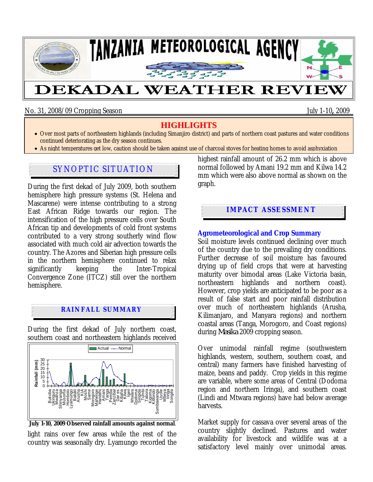

No. 31, 2008/09 Cropping Season July 1-10**,** 2009

# **HIGHLIGHTS**

- Over most parts of northeastern highlands (including Simanjiro district) and parts of northern coast pastures and water conditions continued deteriorating as the dry season continues.
- As night temperatures get low, caution should be taken against use of charcoal stoves for heating homes to avoid asphyxiation

# SYNOPTIC SITUATION

During the first dekad of July 2009, both southern hemisphere high pressure systems (St. Helena and Mascarene) were intense contributing to a strong East African Ridge towards our region. The intensification of the high pressure cells over South African tip and developments of cold front systems contributed to a very strong southerly wind flow associated with much cold air advection towards the country. The Azores and Siberian high pressure cells in the northern hemisphere continued to relax significantly keeping the Inter-Tropical Convergence Zone (ITCZ) still over the northern hemisphere.

## **RAINFALL SUMMARY**

During the first dekad of July northern coast, southern coast and northeastern highlands received



 **July 1-10, 2009 Observed rainfall amounts against normal**.

light rains over few areas while the rest of the country was seasonally dry. Lyamungo recorded the highest rainfall amount of 26.2 mm which is above normal followed by Amani 19.2 mm and Kilwa 14.2 mm which were also above normal as shown on the graph.

## **IMPACT ASSESSMENT**

### **Agrometeorological and Crop Summary**

Soil moisture levels continued declining over much of the country due to the prevailing dry conditions. Further decrease of soil moisture has favoured drying up of field crops that were at harvesting maturity over bimodal areas (Lake Victoria basin, northeastern highlands and northern coast). However, crop yields are anticipated to be poor as a result of false start and poor rainfall distribution over much of northeastern highlands (Arusha, Kilimanjaro, and Manyara regions) and northern coastal areas (Tanga, Morogoro, and Coast regions) during *Masika* 2009 cropping season.

Over unimodal rainfall regime (southwestern highlands, western, southern, southern coast, and central) many farmers have finished harvesting of maize, beans and paddy. Crop yields in this regime are variable, where some areas of Central (Dodoma region and northern Iringa), and southern coast (Lindi and Mtwara regions) have had below average harvests.

Market supply for cassava over several areas of the country slightly declined. Pastures and water availability for livestock and wildlife was at a satisfactory level mainly over unimodal areas.